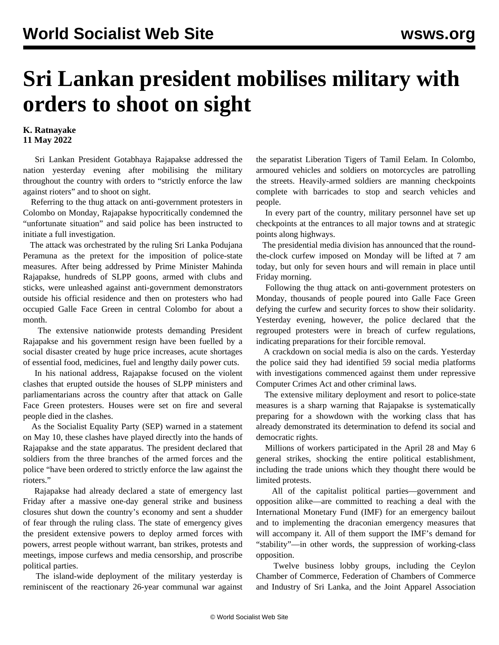## **Sri Lankan president mobilises military with orders to shoot on sight**

## **K. Ratnayake 11 May 2022**

 Sri Lankan President Gotabhaya Rajapakse addressed the nation yesterday evening after mobilising the military throughout the country with orders to "strictly enforce the law against rioters" and to shoot on sight.

 Referring to the thug attack on anti-government protesters in Colombo on Monday, Rajapakse hypocritically condemned the "unfortunate situation" and said police has been instructed to initiate a full investigation.

 The attack was orchestrated by the ruling Sri Lanka Podujana Peramuna as the pretext for the imposition of police-state measures. After being addressed by Prime Minister Mahinda Rajapakse, hundreds of SLPP goons, armed with clubs and sticks, were unleashed against anti-government demonstrators outside his official residence and then on protesters who had occupied Galle Face Green in central Colombo for about a month.

 The extensive nationwide protests demanding President Rajapakse and his government resign have been fuelled by a social disaster created by huge price increases, acute shortages of essential food, medicines, fuel and lengthy daily power cuts.

 In his national address, Rajapakse focused on the violent clashes that erupted outside the houses of SLPP ministers and parliamentarians across the country after that attack on Galle Face Green protesters. Houses were set on fire and several people died in the clashes.

 As the Socialist Equality Party (SEP) warned in a statement on May 10, these clashes have played directly into the hands of Rajapakse and the state apparatus. The president declared that soldiers from the three branches of the armed forces and the police "have been ordered to strictly enforce the law against the rioters."

 Rajapakse had already declared a state of emergency last Friday after a massive one-day general strike and business closures shut down the country's economy and sent a shudder of fear through the ruling class. The state of emergency gives the president extensive powers to deploy armed forces with powers, arrest people without warrant, ban strikes, protests and meetings, impose curfews and media censorship, and proscribe political parties.

 The island-wide deployment of the military yesterday is reminiscent of the reactionary 26-year communal war against the separatist Liberation Tigers of Tamil Eelam. In Colombo, armoured vehicles and soldiers on motorcycles are patrolling the streets. Heavily-armed soldiers are manning checkpoints complete with barricades to stop and search vehicles and people.

 In every part of the country, military personnel have set up checkpoints at the entrances to all major towns and at strategic points along highways.

 The presidential media division has announced that the roundthe-clock curfew imposed on Monday will be lifted at 7 am today, but only for seven hours and will remain in place until Friday morning.

 Following the thug attack on anti-government protesters on Monday, thousands of people poured into Galle Face Green defying the curfew and security forces to show their solidarity. Yesterday evening, however, the police declared that the regrouped protesters were in breach of curfew regulations, indicating preparations for their forcible removal.

 A crackdown on social media is also on the cards. Yesterday the police said they had identified 59 social media platforms with investigations commenced against them under repressive Computer Crimes Act and other criminal laws.

 The extensive military deployment and resort to police-state measures is a sharp warning that Rajapakse is systematically preparing for a showdown with the working class that has already demonstrated its determination to defend its social and democratic rights.

 Millions of workers participated in the April 28 and May 6 general strikes, shocking the entire political establishment, including the trade unions which they thought there would be limited protests.

 All of the capitalist political parties—government and opposition alike—are committed to reaching a deal with the International Monetary Fund (IMF) for an emergency bailout and to implementing the draconian emergency measures that will accompany it. All of them support the IMF's demand for "stability"—in other words, the suppression of working-class opposition.

 Twelve business lobby groups, including the Ceylon Chamber of Commerce, Federation of Chambers of Commerce and Industry of Sri Lanka, and the Joint Apparel Association